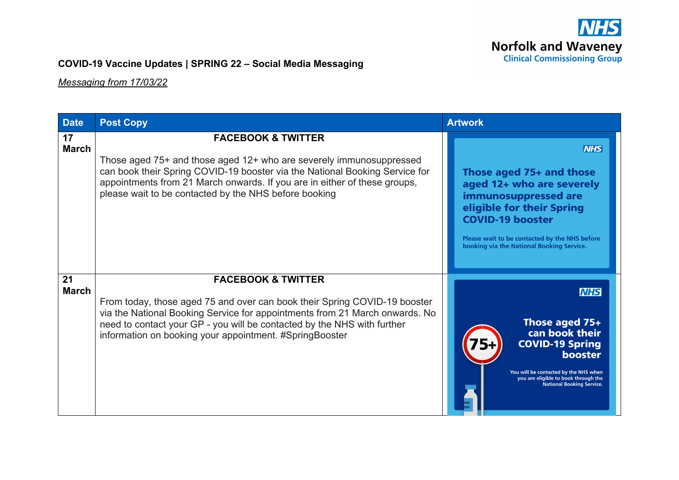

## **COVID-19 Vaccine Updates | SPRING 22 – Social Media Messaging**

*Messaging from 17/03/22*

| <b>Date</b>        | <b>Post Copy</b>                                                                                                                                                                                                                                                                                                                | <b>Artwork</b>                                                                                                                                                                                                                                    |  |  |  |  |
|--------------------|---------------------------------------------------------------------------------------------------------------------------------------------------------------------------------------------------------------------------------------------------------------------------------------------------------------------------------|---------------------------------------------------------------------------------------------------------------------------------------------------------------------------------------------------------------------------------------------------|--|--|--|--|
| 17<br><b>March</b> | <b>FACEBOOK &amp; TWITTER</b><br>Those aged 75+ and those aged 12+ who are severely immunosuppressed<br>can book their Spring COVID-19 booster via the National Booking Service for<br>appointments from 21 March onwards. If you are in either of these groups,<br>please wait to be contacted by the NHS before booking       | <b>NHS</b><br>Those aged 75+ and those<br>aged 12+ who are severely<br>immunosuppressed are<br>eligible for their Spring<br><b>COVID-19 booster</b><br>Please wait to be contacted by the NHS before<br>booking via the National Booking Service. |  |  |  |  |
| 21<br><b>March</b> | <b>FACEBOOK &amp; TWITTER</b><br>From today, those aged 75 and over can book their Spring COVID-19 booster<br>via the National Booking Service for appointments from 21 March onwards. No<br>need to contact your GP - you will be contacted by the NHS with further<br>information on booking your appointment. #SpringBooster | <b>NHS</b><br>Those aged 75+<br>can book their<br><b>COVID-19 Spring</b><br><b>booster</b><br>You will be contacted by the NHS when<br>you are eligible to book through the<br><b>National Booking Service.</b>                                   |  |  |  |  |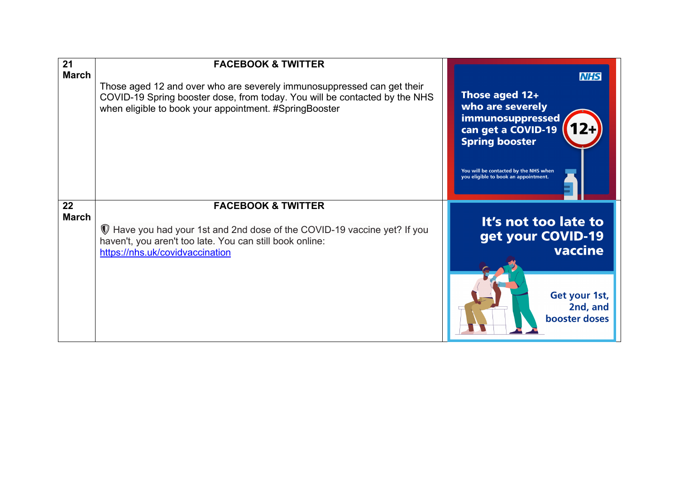| 21<br><b>March</b> | <b>FACEBOOK &amp; TWITTER</b><br>Those aged 12 and over who are severely immunosuppressed can get their<br>COVID-19 Spring booster dose, from today. You will be contacted by the NHS<br>when eligible to book your appointment. #SpringBooster | <b>NHS</b><br>Those aged 12+<br>who are severely<br>immunosuppressed<br>can get a COVID-19<br><b>Spring booster</b><br>You will be contacted by the NHS when<br>you eligible to book an appointment. |
|--------------------|-------------------------------------------------------------------------------------------------------------------------------------------------------------------------------------------------------------------------------------------------|------------------------------------------------------------------------------------------------------------------------------------------------------------------------------------------------------|
| 22<br><b>March</b> | <b>FACEBOOK &amp; TWITTER</b><br>Have you had your 1st and 2nd dose of the COVID-19 vaccine yet? If you<br>haven't, you aren't too late. You can still book online:<br>https://nhs.uk/covidvaccination                                          | It's not too late to<br>get your COVID-19<br>vaccine<br>Get your 1st,<br>2nd, and<br>booster doses                                                                                                   |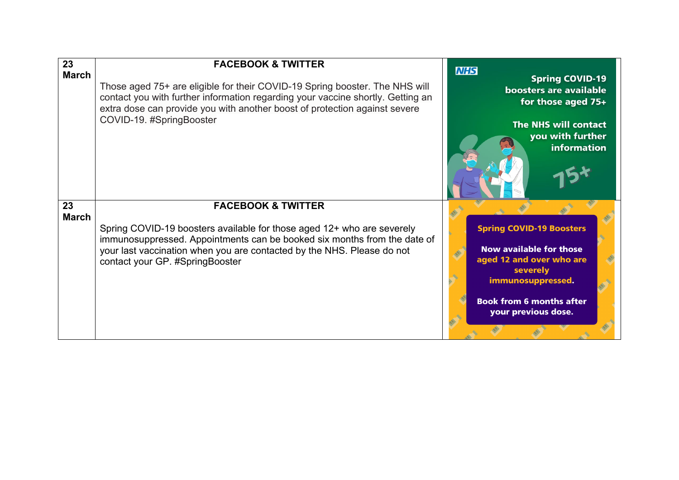| 23                 | <b>FACEBOOK &amp; TWITTER</b>                                                                                                                                                                                                                                                                    | <b>NHS</b>                                                                                                                                                                               |
|--------------------|--------------------------------------------------------------------------------------------------------------------------------------------------------------------------------------------------------------------------------------------------------------------------------------------------|------------------------------------------------------------------------------------------------------------------------------------------------------------------------------------------|
| <b>March</b>       | Those aged 75+ are eligible for their COVID-19 Spring booster. The NHS will<br>contact you with further information regarding your vaccine shortly. Getting an<br>extra dose can provide you with another boost of protection against severe<br>COVID-19. #SpringBooster                         | <b>Spring COVID-19</b><br>boosters are available<br>for those aged 75+<br>The NHS will contact<br>you with further<br>information                                                        |
| 23<br><b>March</b> | <b>FACEBOOK &amp; TWITTER</b><br>Spring COVID-19 boosters available for those aged 12+ who are severely<br>immunosuppressed. Appointments can be booked six months from the date of<br>your last vaccination when you are contacted by the NHS. Please do not<br>contact your GP. #SpringBooster | <b>Spring COVID-19 Boosters</b><br><b>Now available for those</b><br>aged 12 and over who are<br>severely<br>immunosuppressed.<br><b>Book from 6 months after</b><br>your previous dose. |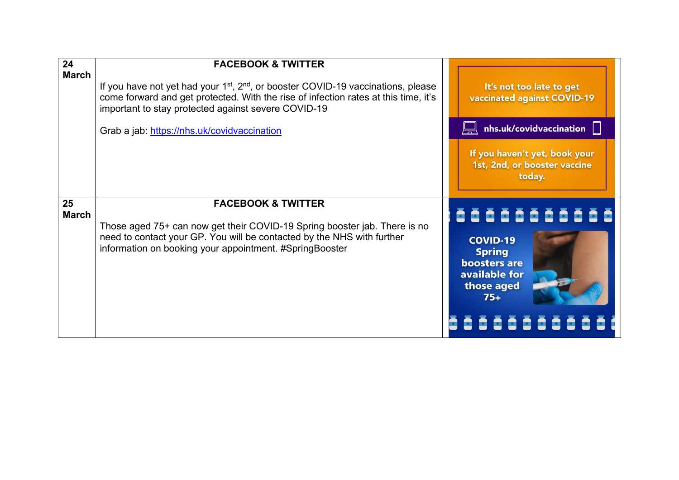| 24           | <b>FACEBOOK &amp; TWITTER</b>                                                                                                                                                                                                                           |                                                                                                               |
|--------------|---------------------------------------------------------------------------------------------------------------------------------------------------------------------------------------------------------------------------------------------------------|---------------------------------------------------------------------------------------------------------------|
| <b>March</b> | If you have not yet had your 1 <sup>st</sup> , 2 <sup>nd</sup> , or booster COVID-19 vaccinations, please<br>come forward and get protected. With the rise of infection rates at this time, it's<br>important to stay protected against severe COVID-19 | It's not too late to get<br>vaccinated against COVID-19                                                       |
|              | Grab a jab: https://nhs.uk/covidvaccination                                                                                                                                                                                                             | $n$ hs.uk/covidvaccination                                                                                    |
|              |                                                                                                                                                                                                                                                         | If you haven't yet, book your<br>1st, 2nd, or booster vaccine<br>today.                                       |
| 25           | <b>FACEBOOK &amp; TWITTER</b>                                                                                                                                                                                                                           |                                                                                                               |
| <b>March</b> | Those aged 75+ can now get their COVID-19 Spring booster jab. There is no<br>need to contact your GP. You will be contacted by the NHS with further<br>information on booking your appointment. #SpringBooster                                          | 5555555555<br><b>COVID-19</b><br><b>Spring</b><br><b>boosters are</b><br>available for<br>those aged<br>$75+$ |
|              |                                                                                                                                                                                                                                                         | 8888888                                                                                                       |